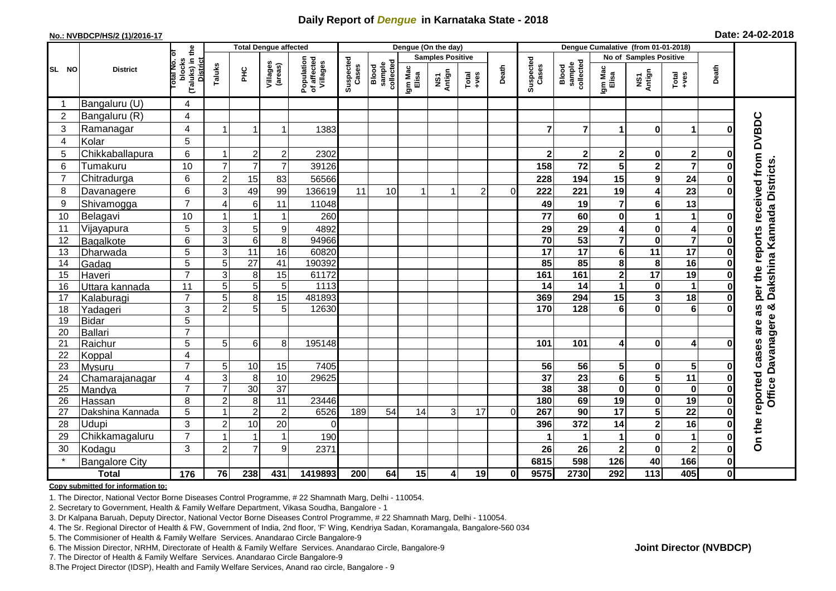## **Daily Report of** *Dengue* **in Karnataka State - 2018**

#### **No.: NVBDCP/HS/2 (1)/2016-17**

|  |  | Date: 24-02-2018 |
|--|--|------------------|
|--|--|------------------|

|                |                       |                                                       |                           | <b>Total Dengue affected</b> |                     |                                       | Dengue (On the day) |                              |                  |                         |                                                              |          |                    | Dengue Cumalative (from 01-01-2018) |                         |                         |                         |              |                                     |  |
|----------------|-----------------------|-------------------------------------------------------|---------------------------|------------------------------|---------------------|---------------------------------------|---------------------|------------------------------|------------------|-------------------------|--------------------------------------------------------------|----------|--------------------|-------------------------------------|-------------------------|-------------------------|-------------------------|--------------|-------------------------------------|--|
|                | <b>District</b>       |                                                       |                           |                              |                     |                                       |                     |                              |                  | <b>Samples Positive</b> |                                                              |          |                    |                                     |                         | No of Samples Positive  |                         |              |                                     |  |
| SL NO          |                       | (Taluks) in the<br>District<br>lotal No. of<br>blocks | Taluks                    | $rac{C}{\pi}$                | Villages<br>(areas) | Population<br>of affected<br>Villages | Suspected<br>Cases  | sample<br>collected<br>Blood | Igm Mac<br>Elisa | NS1<br>Antign           | $\begin{array}{c}\n\text{Total} \\ \text{+ves}\n\end{array}$ | Death    | Suspected<br>Cases | Blood<br>sample<br>collected        | Igm Mac<br>Elisa        | NS1<br>Antign           | Total<br>+ves           | Death        |                                     |  |
| -1             | Bangaluru (U)         | 4                                                     |                           |                              |                     |                                       |                     |                              |                  |                         |                                                              |          |                    |                                     |                         |                         |                         |              |                                     |  |
| $\overline{2}$ | Bangaluru (R)         | $\overline{4}$                                        |                           |                              |                     |                                       |                     |                              |                  |                         |                                                              |          |                    |                                     |                         |                         |                         |              |                                     |  |
| 3              | Ramanagar             | 4                                                     | $\overline{1}$            |                              | $\mathbf{1}$        | 1383                                  |                     |                              |                  |                         |                                                              |          | 7                  | $\overline{7}$                      | 1                       | $\bf{0}$                | $\mathbf 1$             | 0            | per the reports received from DVBDC |  |
| $\overline{4}$ | Kolar                 | 5                                                     |                           |                              |                     |                                       |                     |                              |                  |                         |                                                              |          |                    |                                     |                         |                         |                         |              |                                     |  |
| 5              | Chikkaballapura       | 6                                                     | -1                        | $\overline{2}$               | $\overline{c}$      | 2302                                  |                     |                              |                  |                         |                                                              |          | $\mathbf{2}$       | $2 \vert$                           | $\mathbf 2$             | $\pmb{0}$               | $\overline{\mathbf{2}}$ | O            |                                     |  |
| 6              | Tumakuru              | 10                                                    | $\overline{7}$            | $\overline{7}$               | $\overline{7}$      | 39126                                 |                     |                              |                  |                         |                                                              |          | 158                | 72                                  | 5                       | $\mathbf{2}$            | $\overline{7}$          | 0            |                                     |  |
| $\overline{7}$ | Chitradurga           | 6                                                     | $\overline{c}$            | 15                           | 83                  | 56566                                 |                     |                              |                  |                         |                                                              |          | 228                | 194                                 | 15                      | $\mathbf{9}$            | 24                      | 0            |                                     |  |
| 8              | Davanagere            | 6                                                     | 3                         | 49                           | 99                  | 136619                                | 11                  | 10                           |                  |                         | $\overline{c}$                                               | $\Omega$ | 222                | 221                                 | 19                      | 4                       | 23                      | 0            |                                     |  |
| 9              | Shivamogga            | $\overline{7}$                                        | $\overline{4}$            | 6                            | 11                  | 11048                                 |                     |                              |                  |                         |                                                              |          | 49                 | 19                                  | 7                       | $\bf 6$                 | 13                      |              | Dakshina Kannada Districts.         |  |
| 10             | Belagavi              | 10                                                    |                           |                              | -1                  | 260                                   |                     |                              |                  |                         |                                                              |          | 77                 | 60                                  | 0                       | $\overline{1}$          | 1                       | 0            |                                     |  |
| 11             | Vijayapura            | $5\phantom{.0}$                                       | 3                         | 5                            | 9                   | 4892                                  |                     |                              |                  |                         |                                                              |          | 29                 | 29                                  | 4                       | $\pmb{0}$               | 4                       |              |                                     |  |
| 12             | Bagalkote             | 6                                                     | $\overline{3}$            | $\overline{6}$               | 8                   | 94966                                 |                     |                              |                  |                         |                                                              |          | 70                 | 53                                  | $\overline{\mathbf{7}}$ | $\overline{\mathbf{0}}$ | $\overline{\mathbf{7}}$ | $\bf{0}$     |                                     |  |
| 13             | Dharwada              | 5                                                     | $\ensuremath{\mathsf{3}}$ | $\overline{11}$              | $\overline{16}$     | 60820                                 |                     |                              |                  |                         |                                                              |          | $\overline{17}$    | $\overline{17}$                     | 6                       | $\overline{11}$         | 17                      | $\mathbf 0$  |                                     |  |
| 14             | Gadag                 | $\overline{5}$                                        | 5                         | $\overline{27}$              | 41                  | 190392                                |                     |                              |                  |                         |                                                              |          | 85                 | 85                                  | 8                       | 8                       | $\overline{16}$         | O            |                                     |  |
| 15             | Haveri                | $\overline{7}$                                        | 3                         | 8                            | 15                  | 61172                                 |                     |                              |                  |                         |                                                              |          | 161                | 161                                 | $\mathbf{2}$            | $\overline{17}$         | $\overline{19}$         | O            |                                     |  |
| 16             | Uttara kannada        | 11                                                    | 5                         | $\overline{5}$               | 5                   | 1113                                  |                     |                              |                  |                         |                                                              |          | 14                 | 14                                  | 1                       | $\pmb{0}$               | $\mathbf 1$             | 0            |                                     |  |
| 17             | Kalaburagi            | $\overline{7}$                                        | 5                         | 8                            | $\overline{15}$     | 481893                                |                     |                              |                  |                         |                                                              |          | 369                | 294                                 | 15                      | $\overline{\mathbf{3}}$ | $\overline{18}$         | 0            |                                     |  |
| 18             | Yadageri              | 3                                                     | $\overline{2}$            | 5                            | 5                   | 12630                                 |                     |                              |                  |                         |                                                              |          | 170                | 128                                 | 6                       | $\mathbf 0$             | 6                       |              | න්<br>as                            |  |
| 19             | <b>Bidar</b>          | 5                                                     |                           |                              |                     |                                       |                     |                              |                  |                         |                                                              |          |                    |                                     |                         |                         |                         |              |                                     |  |
| 20             | <b>Ballari</b>        | $\overline{7}$                                        |                           |                              |                     |                                       |                     |                              |                  |                         |                                                              |          |                    |                                     |                         |                         |                         |              | are                                 |  |
| 21             | Raichur               | 5                                                     | 5                         | 6                            | 8                   | 195148                                |                     |                              |                  |                         |                                                              |          | 101                | 101                                 | 4                       | $\bf{0}$                | 4                       | 0            |                                     |  |
| 22             | Koppal                | 4                                                     |                           |                              |                     |                                       |                     |                              |                  |                         |                                                              |          |                    |                                     |                         |                         |                         |              |                                     |  |
| 23             | Mysuru                | $\overline{7}$                                        | 5                         | 10                           | 15                  | 7405                                  |                     |                              |                  |                         |                                                              |          | 56                 | 56                                  | 5                       | $\mathbf 0$             | $5\phantom{.0}$         | O            |                                     |  |
| 24             | Chamarajanagar        | 4                                                     | 3                         | 8                            | 10                  | 29625                                 |                     |                              |                  |                         |                                                              |          | $\overline{37}$    | $\overline{23}$                     | 6                       | $\overline{\mathbf{5}}$ | $\overline{11}$         | 0            | Office Davanagere                   |  |
| 25             | Mandya                | $\overline{7}$                                        | $\overline{7}$            | 30                           | $\overline{37}$     |                                       |                     |                              |                  |                         |                                                              |          | 38                 | 38                                  | $\mathbf{0}$            | $\pmb{0}$               | $\bf{0}$                | $\bf{0}$     |                                     |  |
| 26             | Hassan                | 8                                                     | $\overline{c}$            | 8                            | $\overline{11}$     | 23446                                 |                     |                              |                  |                         |                                                              |          | 180                | 69                                  | 19                      | $\mathbf 0$             | 19                      | 0            |                                     |  |
| 27             | Dakshina Kannada      | 5                                                     | 1                         | $\overline{2}$               | $\overline{2}$      | 6526                                  | 189                 | 54                           | 14               | 3                       | 17                                                           | 0        | 267                | 90                                  | 17                      | $\overline{\mathbf{5}}$ | $\overline{22}$         | $\bf{0}$     |                                     |  |
| 28             | Udupi                 | 3                                                     | $\overline{2}$            | 10                           | 20                  | $\Omega$                              |                     |                              |                  |                         |                                                              |          | 396                | 372                                 | 14                      | $\overline{\mathbf{2}}$ | 16                      | O            |                                     |  |
| 29             | Chikkamagaluru        | $\overline{7}$                                        |                           |                              | $\mathbf{1}$        | 190                                   |                     |                              |                  |                         |                                                              |          |                    |                                     | 1                       | $\bf{0}$                | $\blacktriangleleft$    | 0            | On the reported cases               |  |
| 30             | Kodagu                | 3                                                     | $\overline{c}$            | $\overline{7}$               | 9                   | 2371                                  |                     |                              |                  |                         |                                                              |          | 26                 | 26                                  | $\mathbf{2}$            | $\mathbf 0$             | $\mathbf{2}$            | 0            |                                     |  |
| $\star$        | <b>Bangalore City</b> |                                                       |                           |                              |                     |                                       |                     |                              |                  |                         |                                                              |          | 6815               | 598                                 | 126                     | 40                      | 166                     | $\mathbf 0$  |                                     |  |
|                | <b>Total</b>          | $\frac{1}{176}$                                       | 76                        | 238                          | 431                 | 1419893                               | 200                 | 64                           | 15               | 4                       | 19                                                           | 01       | 9575               | 2730                                | 292                     | $\overline{113}$        | 405                     | $\mathbf{0}$ |                                     |  |

#### **Copy submitted for information to:**

1. The Director, National Vector Borne Diseases Control Programme, # 22 Shamnath Marg, Delhi - 110054.

2. Secretary to Government, Health & Family Welfare Department, Vikasa Soudha, Bangalore - 1

3. Dr Kalpana Baruah, Deputy Director, National Vector Borne Diseases Control Programme, # 22 Shamnath Marg, Delhi - 110054.

4. The Sr. Regional Director of Health & FW, Government of India, 2nd floor, 'F' Wing, Kendriya Sadan, Koramangala, Bangalore-560 034

5. The Commisioner of Health & Family Welfare Services. Anandarao Circle Bangalore-9

6. The Mission Director, NRHM, Directorate of Health & Family Welfare Services. Anandarao Circle, Bangalore-9

7. The Director of Health & Family Welfare Services. Anandarao Circle Bangalore-9

8.The Project Director (IDSP), Health and Family Welfare Services, Anand rao circle, Bangalore - 9